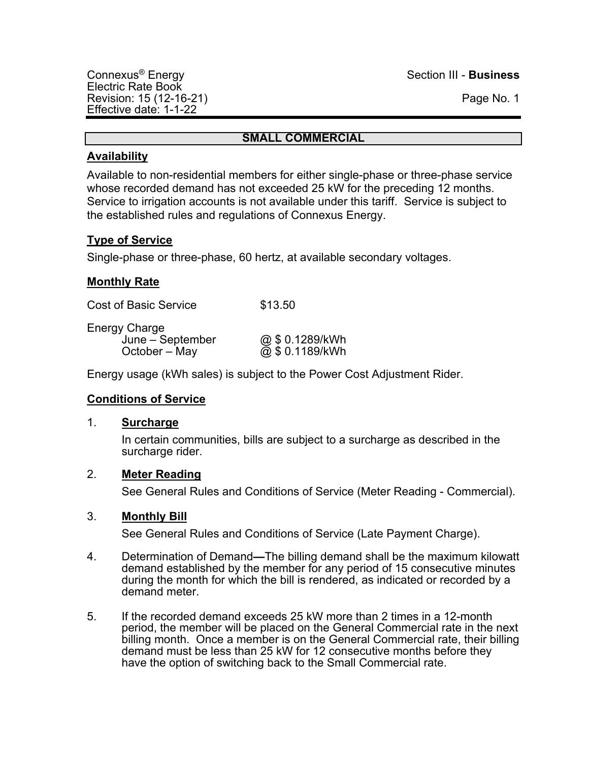### **SMALL COMMERCIAL**

## **Availability**

Available to non-residential members for either single-phase or three-phase service whose recorded demand has not exceeded 25 kW for the preceding 12 months. Service to irrigation accounts is not available under this tariff. Service is subject to the established rules and regulations of Connexus Energy.

## **Type of Service**

Single-phase or three-phase, 60 hertz, at available secondary voltages.

## **Monthly Rate**

Cost of Basic Service \$13.50

Energy Charge

June – September @ \$ 0.1289/kWh<br>October – May @ \$ 0.1189/kWh

 $\overline{\omega}$  \$ 0.1189/kWh

Energy usage (kWh sales) is subject to the Power Cost Adjustment Rider.

## **Conditions of Service**

## 1. **Surcharge**

In certain communities, bills are subject to a surcharge as described in the surcharge rider.

## 2. **Meter Reading**

See General Rules and Conditions of Service (Meter Reading - Commercial).

## 3. **Monthly Bill**

- 4. Determination of Demand**—**The billing demand shall be the maximum kilowatt demand established by the member for any period of 15 consecutive minutes during the month for which the bill is rendered, as indicated or recorded by a demand meter.
- 5. If the recorded demand exceeds 25 kW more than 2 times in a 12-month period, the member will be placed on the General Commercial rate in the next billing month. Once a member is on the General Commercial rate, their billing demand must be less than 25 kW for 12 consecutive months before they have the option of switching back to the Small Commercial rate.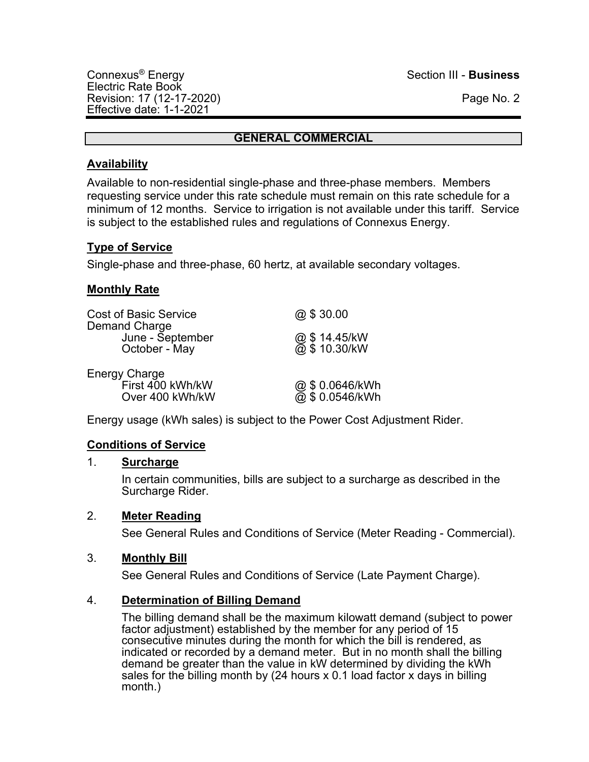## **GENERAL COMMERCIAL**

## **Availability**

Available to non-residential single-phase and three-phase members. Members requesting service under this rate schedule must remain on this rate schedule for a minimum of 12 months. Service to irrigation is not available under this tariff. Service is subject to the established rules and regulations of Connexus Energy.

## **Type of Service**

Single-phase and three-phase, 60 hertz, at available secondary voltages.

## **Monthly Rate**

| <b>Cost of Basic Service</b><br>Demand Charge               | @\$30.00                         |
|-------------------------------------------------------------|----------------------------------|
| June - September<br>October - May                           | @\$14.45/kW<br>@\$10.30/kW       |
| <b>Energy Charge</b><br>First 400 kWh/kW<br>Over 400 kWh/kW | @\$0.0646/kWh<br>@ \$ 0.0546/kWh |

Energy usage (kWh sales) is subject to the Power Cost Adjustment Rider.

## **Conditions of Service**

## 1. **Surcharge**

In certain communities, bills are subject to a surcharge as described in the Surcharge Rider.

## 2. **Meter Reading**

See General Rules and Conditions of Service (Meter Reading - Commercial).

## 3. **Monthly Bill**

See General Rules and Conditions of Service (Late Payment Charge).

## 4. **Determination of Billing Demand**

The billing demand shall be the maximum kilowatt demand (subject to power factor adjustment) established by the member for any period of 15 consecutive minutes during the month for which the bill is rendered, as indicated or recorded by a demand meter. But in no month shall the billing demand be greater than the value in kW determined by dividing the kWh sales for the billing month by (24 hours x 0.1 load factor x days in billing month.)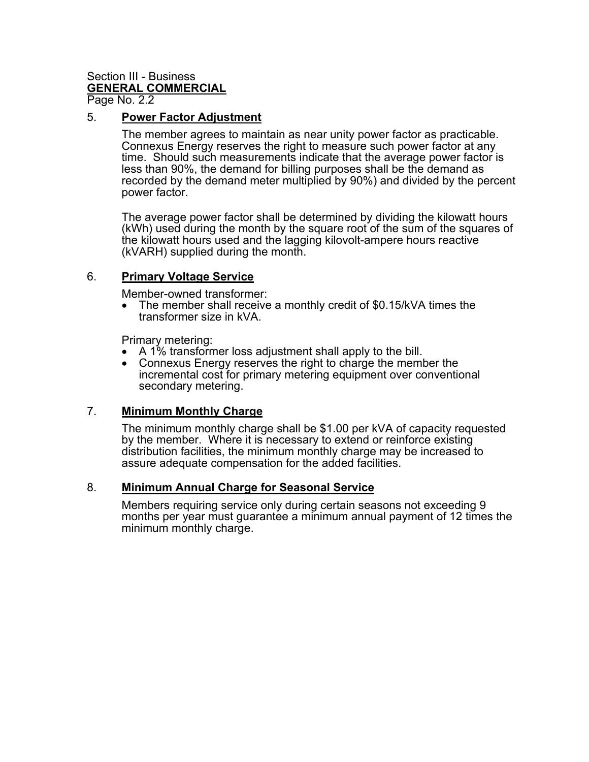# Section III - Business **GENERAL COMMERCIAL**

Page No. 2.2

### 5. **Power Factor Adjustment**

The member agrees to maintain as near unity power factor as practicable. Connexus Energy reserves the right to measure such power factor at any time. Should such measurements indicate that the average power factor is less than 90%, the demand for billing purposes shall be the demand as recorded by the demand meter multiplied by 90%) and divided by the percent power factor.

The average power factor shall be determined by dividing the kilowatt hours (kWh) used during the month by the square root of the sum of the squares of the kilowatt hours used and the lagging kilovolt-ampere hours reactive (kVARH) supplied during the month.

## 6. **Primary Voltage Service**

Member-owned transformer:

• The member shall receive a monthly credit of \$0.15/kVA times the transformer size in kVA.

Primary metering:

- A 1% transformer loss adjustment shall apply to the bill.
- Connexus Energy reserves the right to charge the member the incremental cost for primary metering equipment over conventional secondary metering.

## 7. **Minimum Monthly Charge**

The minimum monthly charge shall be \$1.00 per kVA of capacity requested by the member. Where it is necessary to extend or reinforce existing distribution facilities, the minimum monthly charge may be increased to assure adequate compensation for the added facilities.

#### 8. **Minimum Annual Charge for Seasonal Service**

Members requiring service only during certain seasons not exceeding 9 months per year must guarantee a minimum annual payment of 12 times the minimum monthly charge.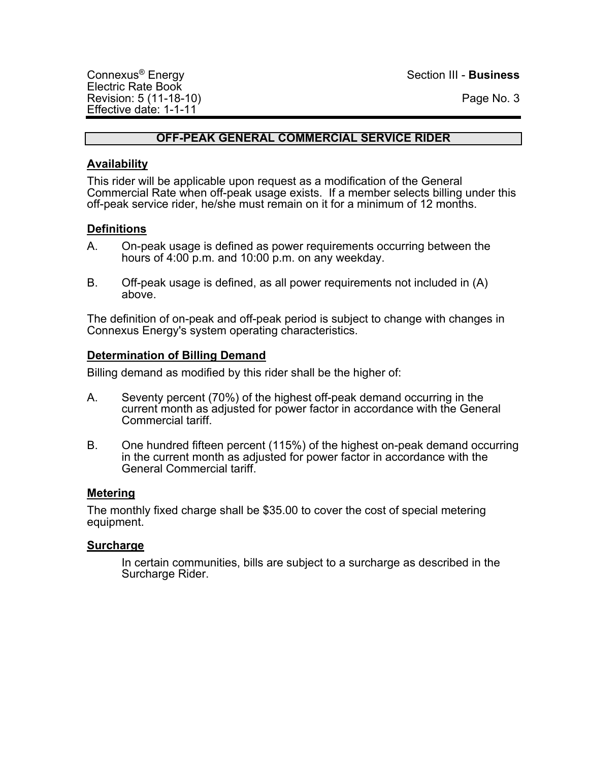## **OFF-PEAK GENERAL COMMERCIAL SERVICE RIDER**

## **Availability**

This rider will be applicable upon request as a modification of the General Commercial Rate when off-peak usage exists. If a member selects billing under this off-peak service rider, he/she must remain on it for a minimum of 12 months.

## **Definitions**

- A. On-peak usage is defined as power requirements occurring between the hours of 4:00 p.m. and 10:00 p.m. on any weekday.
- B. Off-peak usage is defined, as all power requirements not included in (A) above.

The definition of on-peak and off-peak period is subject to change with changes in Connexus Energy's system operating characteristics.

### **Determination of Billing Demand**

Billing demand as modified by this rider shall be the higher of:

- A. Seventy percent (70%) of the highest off-peak demand occurring in the current month as adjusted for power factor in accordance with the General Commercial tariff.
- B. One hundred fifteen percent (115%) of the highest on-peak demand occurring in the current month as adjusted for power factor in accordance with the General Commercial tariff.

## **Metering**

The monthly fixed charge shall be \$35.00 to cover the cost of special metering equipment.

## **Surcharge**

In certain communities, bills are subject to a surcharge as described in the Surcharge Rider.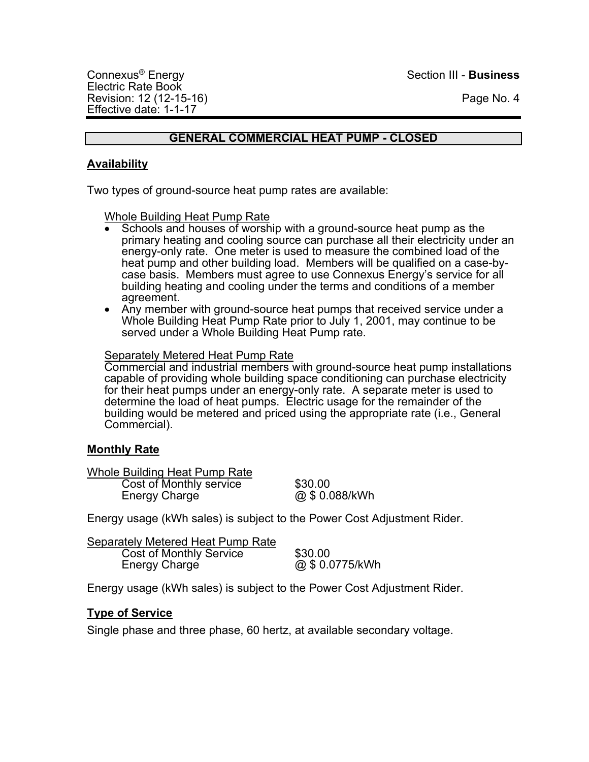## **GENERAL COMMERCIAL HEAT PUMP - CLOSED**

## **Availability**

Two types of ground-source heat pump rates are available:

Whole Building Heat Pump Rate

- Schools and houses of worship with a ground-source heat pump as the primary heating and cooling source can purchase all their electricity under an energy-only rate. One meter is used to measure the combined load of the heat pump and other building load. Members will be qualified on a case-bycase basis. Members must agree to use Connexus Energy's service for all building heating and cooling under the terms and conditions of a member agreement.
- Any member with ground-source heat pumps that received service under a Whole Building Heat Pump Rate prior to July 1, 2001, may continue to be served under a Whole Building Heat Pump rate.

#### Separately Metered Heat Pump Rate

Commercial and industrial members with ground-source heat pump installations capable of providing whole building space conditioning can purchase electricity for their heat pumps under an energy-only rate. A separate meter is used to determine the load of heat pumps. Electric usage for the remainder of the building would be metered and priced using the appropriate rate (i.e., General Commercial).

## **Monthly Rate**

| Whole Building Heat Pump Rate |                |
|-------------------------------|----------------|
| Cost of Monthly service       | \$30.00        |
| <b>Energy Charge</b>          | @ \$ 0.088/kWh |

Energy usage (kWh sales) is subject to the Power Cost Adjustment Rider.

| Separately Metered Heat Pump Rate |                 |
|-----------------------------------|-----------------|
| <b>Cost of Monthly Service</b>    | \$30.00         |
| Energy Charge                     | @ \$ 0.0775/kWh |

Energy usage (kWh sales) is subject to the Power Cost Adjustment Rider.

## **Type of Service**

Single phase and three phase, 60 hertz, at available secondary voltage.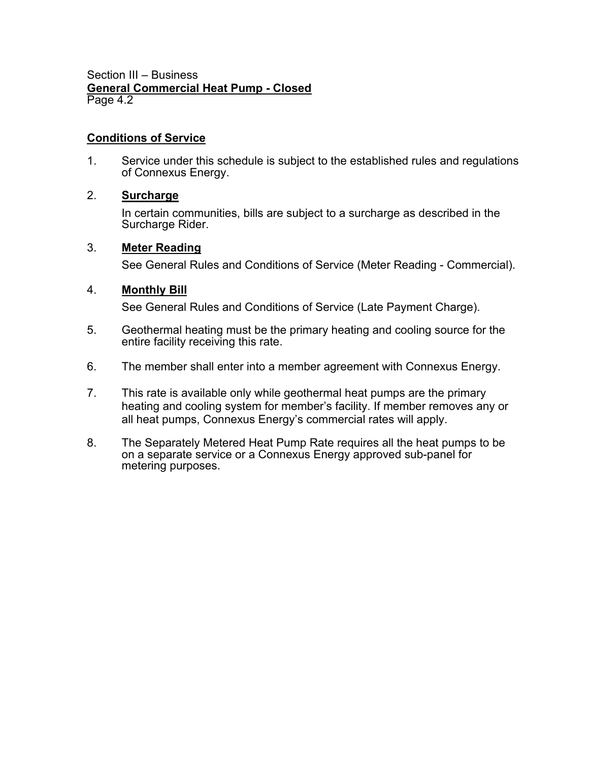Section III – Business **General Commercial Heat Pump - Closed** Page 4.2

### **Conditions of Service**

1. Service under this schedule is subject to the established rules and regulations of Connexus Energy.

## 2. **Surcharge**

In certain communities, bills are subject to a surcharge as described in the Surcharge Rider.

## 3. **Meter Reading**

See General Rules and Conditions of Service (Meter Reading - Commercial).

## 4. **Monthly Bill**

- 5. Geothermal heating must be the primary heating and cooling source for the entire facility receiving this rate.
- 6. The member shall enter into a member agreement with Connexus Energy.
- 7. This rate is available only while geothermal heat pumps are the primary heating and cooling system for member's facility. If member removes any or all heat pumps, Connexus Energy's commercial rates will apply.
- 8. The Separately Metered Heat Pump Rate requires all the heat pumps to be on a separate service or a Connexus Energy approved sub-panel for metering purposes.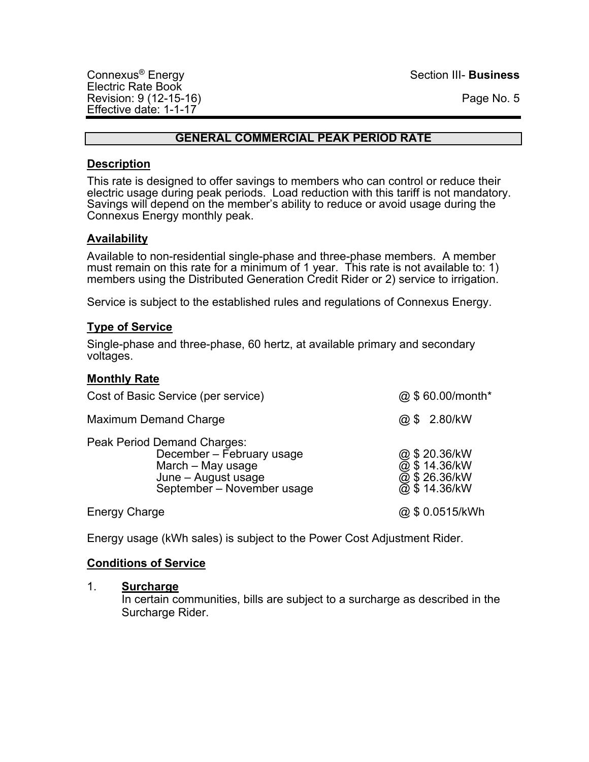## **GENERAL COMMERCIAL PEAK PERIOD RATE**

## **Description**

This rate is designed to offer savings to members who can control or reduce their electric usage during peak periods. Load reduction with this tariff is not mandatory. Savings will depend on the member's ability to reduce or avoid usage during the Connexus Energy monthly peak.

## **Availability**

Available to non-residential single-phase and three-phase members. A member must remain on this rate for a minimum of 1 year. This rate is not available to: 1) members using the Distributed Generation Credit Rider or 2) service to irrigation.

Service is subject to the established rules and regulations of Connexus Energy.

## **Type of Service**

Single-phase and three-phase, 60 hertz, at available primary and secondary voltages.

## **Monthly Rate**

| Cost of Basic Service (per service)                                     |                                                         | @ \$60.00/month*                                                |
|-------------------------------------------------------------------------|---------------------------------------------------------|-----------------------------------------------------------------|
| <b>Maximum Demand Charge</b>                                            |                                                         | @ \$ 2.80/kW                                                    |
| Peak Period Demand Charges:<br>March - May usage<br>June - August usage | December - February usage<br>September - November usage | @ \$ 20.36/kW<br>@ \$ 14.36/kW<br>@ \$ 26.36/kW<br>@ \$14.36/kW |
| <b>Energy Charge</b>                                                    |                                                         | @ \$ 0.0515/kWh                                                 |

Energy usage (kWh sales) is subject to the Power Cost Adjustment Rider.

## **Conditions of Service**

#### 1. **Surcharge**

In certain communities, bills are subject to a surcharge as described in the Surcharge Rider.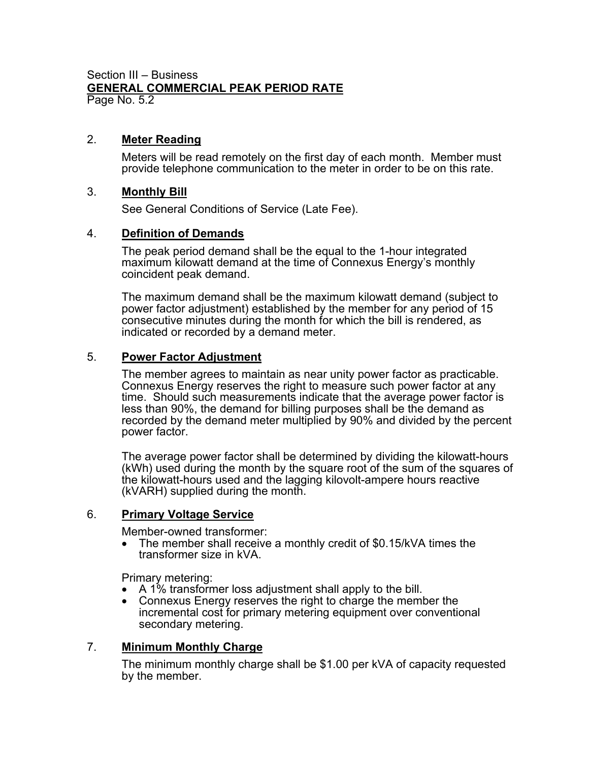#### Section III – Business **GENERAL COMMERCIAL PEAK PERIOD RATE** Page No. 5.2

2. **Meter Reading**

Meters will be read remotely on the first day of each month. Member must provide telephone communication to the meter in order to be on this rate.

## 3. **Monthly Bill**

See General Conditions of Service (Late Fee).

## 4. **Definition of Demands**

The peak period demand shall be the equal to the 1-hour integrated maximum kilowatt demand at the time of Connexus Energy's monthly coincident peak demand.

The maximum demand shall be the maximum kilowatt demand (subject to power factor adjustment) established by the member for any period of 15 consecutive minutes during the month for which the bill is rendered, as indicated or recorded by a demand meter.

## 5. **Power Factor Adjustment**

The member agrees to maintain as near unity power factor as practicable. Connexus Energy reserves the right to measure such power factor at any time. Should such measurements indicate that the average power factor is less than 90%, the demand for billing purposes shall be the demand as recorded by the demand meter multiplied by 90% and divided by the percent power factor.

The average power factor shall be determined by dividing the kilowatt-hours (kWh) used during the month by the square root of the sum of the squares of the kilowatt-hours used and the lagging kilovolt-ampere hours reactive (kVARH) supplied during the month.

## 6. **Primary Voltage Service**

Member-owned transformer:

• The member shall receive a monthly credit of \$0.15/kVA times the transformer size in kVA.

Primary metering:

- A 1% transformer loss adjustment shall apply to the bill.
- Connexus Energy reserves the right to charge the member the incremental cost for primary metering equipment over conventional secondary metering.

## 7. **Minimum Monthly Charge**

The minimum monthly charge shall be \$1.00 per kVA of capacity requested by the member.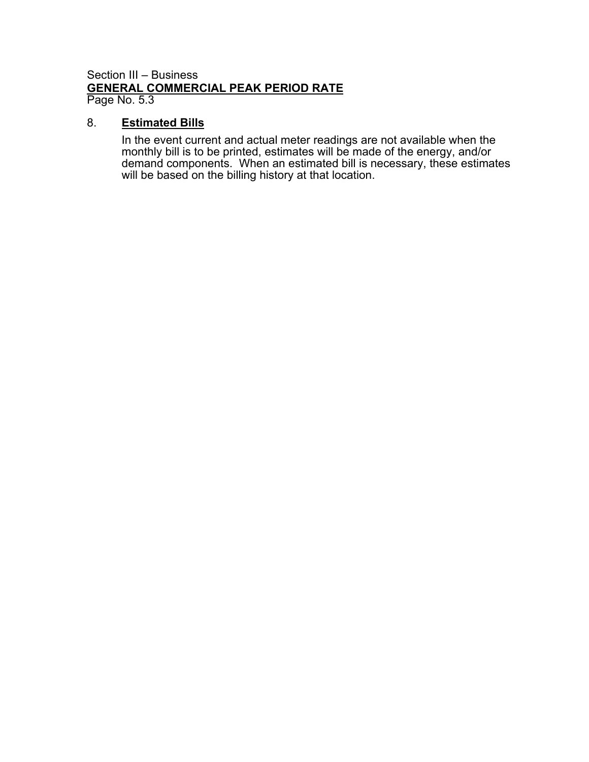#### Section III – Business **GENERAL COMMERCIAL PEAK PERIOD RATE** Page No. 5.3

## 8. **Estimated Bills**

In the event current and actual meter readings are not available when the monthly bill is to be printed, estimates will be made of the energy, and/or demand components. When an estimated bill is necessary, these estimates will be based on the billing history at that location.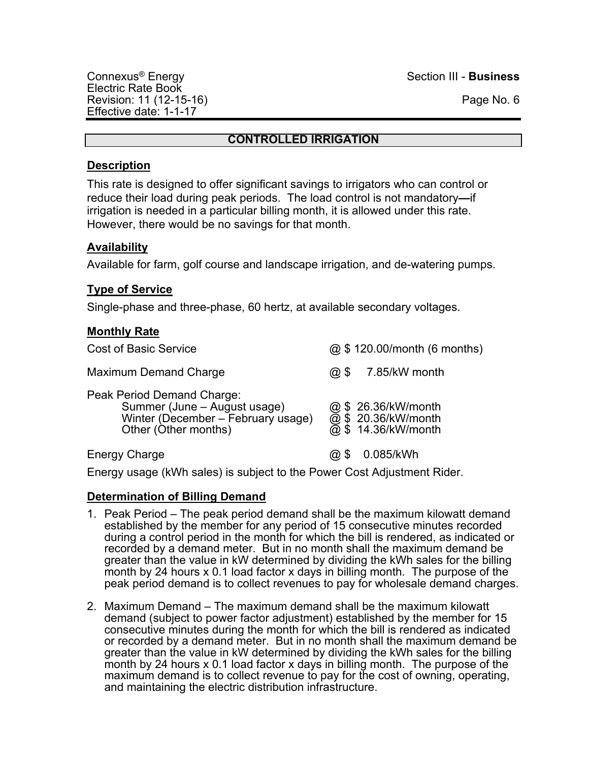## **CONTROLLED IRRIGATION**

## **Description**

This rate is designed to offer significant savings to irrigators who can control or reduce their load during peak periods. The load control is not mandatory**—**if irrigation is needed in a particular billing month, it is allowed under this rate. However, there would be no savings for that month.

## **Availability**

Available for farm, golf course and landscape irrigation, and de-watering pumps.

## **Type of Service**

Single-phase and three-phase, 60 hertz, at available secondary voltages.

## **Monthly Rate**

| <b>Cost of Basic Service</b>                                                                                             | @ \$120.00/month (6 months)                                       |  |
|--------------------------------------------------------------------------------------------------------------------------|-------------------------------------------------------------------|--|
| <b>Maximum Demand Charge</b>                                                                                             | 7.85/kW month<br>$\omega$ \$                                      |  |
| Peak Period Demand Charge:<br>Summer (June - August usage)<br>Winter (December - February usage)<br>Other (Other months) | @ \$ 26.36/kW/month<br>@ \$ 20.36/kW/month<br>@ \$ 14.36/kW/month |  |
| <b>Energy Charge</b>                                                                                                     | 0.085/kWh                                                         |  |

Energy usage (kWh sales) is subject to the Power Cost Adjustment Rider.

## **Determination of Billing Demand**

- 1. Peak Period The peak period demand shall be the maximum kilowatt demand established by the member for any period of 15 consecutive minutes recorded during a control period in the month for which the bill is rendered, as indicated or recorded by a demand meter. But in no month shall the maximum demand be greater than the value in kW determined by dividing the kWh sales for the billing month by 24 hours x 0.1 load factor x days in billing month. The purpose of the peak period demand is to collect revenues to pay for wholesale demand charges.
- 2. Maximum Demand The maximum demand shall be the maximum kilowatt demand (subject to power factor adjustment) established by the member for 15 consecutive minutes during the month for which the bill is rendered as indicated or recorded by a demand meter. But in no month shall the maximum demand be greater than the value in kW determined by dividing the kWh sales for the billing month by 24 hours x 0.1 load factor x days in billing month. The purpose of the maximum demand is to collect revenue to pay for the cost of owning, operating, and maintaining the electric distribution infrastructure.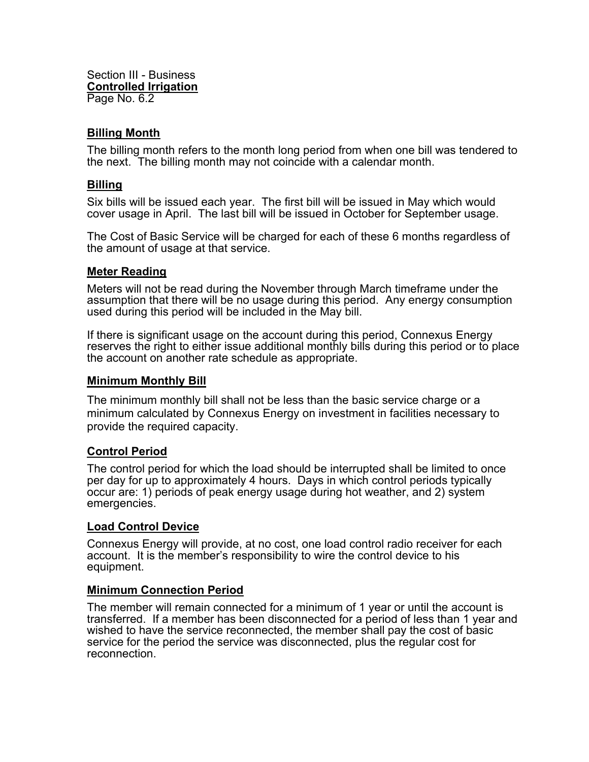Section III - Business **Controlled Irrigation** Page No. 6.2

### **Billing Month**

The billing month refers to the month long period from when one bill was tendered to the next. The billing month may not coincide with a calendar month.

#### **Billing**

Six bills will be issued each year. The first bill will be issued in May which would cover usage in April. The last bill will be issued in October for September usage.

The Cost of Basic Service will be charged for each of these 6 months regardless of the amount of usage at that service.

#### **Meter Reading**

Meters will not be read during the November through March timeframe under the assumption that there will be no usage during this period. Any energy consumption used during this period will be included in the May bill.

If there is significant usage on the account during this period, Connexus Energy reserves the right to either issue additional monthly bills during this period or to place the account on another rate schedule as appropriate.

#### **Minimum Monthly Bill**

The minimum monthly bill shall not be less than the basic service charge or a minimum calculated by Connexus Energy on investment in facilities necessary to provide the required capacity.

## **Control Period**

The control period for which the load should be interrupted shall be limited to once per day for up to approximately 4 hours. Days in which control periods typically occur are: 1) periods of peak energy usage during hot weather, and 2) system emergencies.

## **Load Control Device**

Connexus Energy will provide, at no cost, one load control radio receiver for each account. It is the member's responsibility to wire the control device to his equipment.

#### **Minimum Connection Period**

The member will remain connected for a minimum of 1 year or until the account is transferred. If a member has been disconnected for a period of less than 1 year and wished to have the service reconnected, the member shall pay the cost of basic service for the period the service was disconnected, plus the regular cost for reconnection.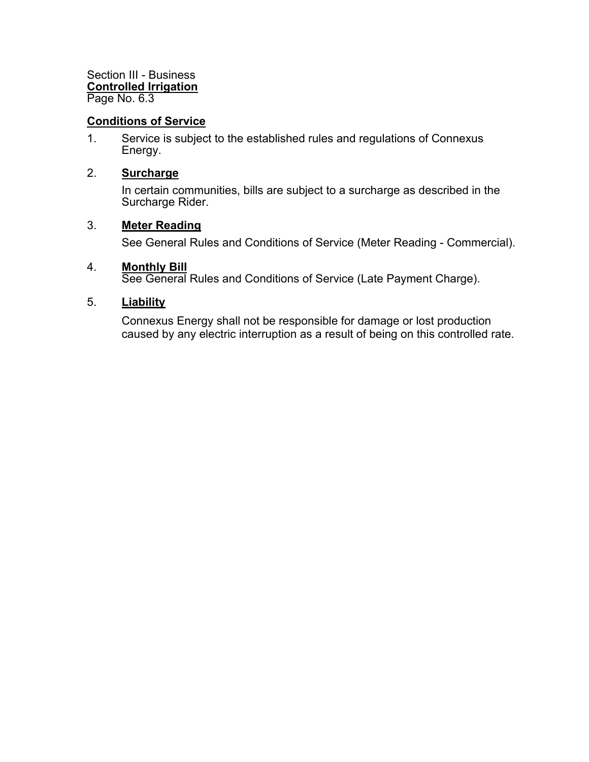Section III - Business **Controlled Irrigation** Page No. 6.3

## **Conditions of Service**

1. Service is subject to the established rules and regulations of Connexus Energy.

#### 2. **Surcharge**

In certain communities, bills are subject to a surcharge as described in the Surcharge Rider.

#### 3. **Meter Reading**

See General Rules and Conditions of Service (Meter Reading - Commercial).

#### 4. **Monthly Bill**

See General Rules and Conditions of Service (Late Payment Charge).

## 5. **Liability**

Connexus Energy shall not be responsible for damage or lost production caused by any electric interruption as a result of being on this controlled rate.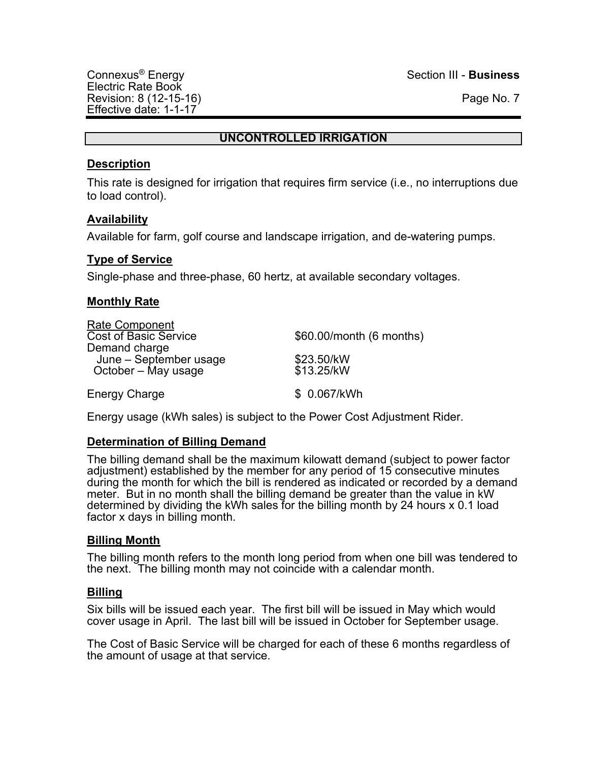## **UNCONTROLLED IRRIGATION**

## **Description**

This rate is designed for irrigation that requires firm service (i.e., no interruptions due to load control).

## **Availability**

Available for farm, golf course and landscape irrigation, and de-watering pumps.

## **Type of Service**

Single-phase and three-phase, 60 hertz, at available secondary voltages.

## **Monthly Rate**

| Rate Component               |                          |
|------------------------------|--------------------------|
| <b>Cost of Basic Service</b> | \$60.00/month (6 months) |
| Demand charge                |                          |
| June - September usage       | \$23.50/kW               |
| October - May usage          | \$13.25/kW               |
| <b>Energy Charge</b>         | \$ 0.067/kWh             |

Energy usage (kWh sales) is subject to the Power Cost Adjustment Rider.

## **Determination of Billing Demand**

The billing demand shall be the maximum kilowatt demand (subject to power factor adjustment) established by the member for any period of 15 consecutive minutes during the month for which the bill is rendered as indicated or recorded by a demand meter. But in no month shall the billing demand be greater than the value in kW determined by dividing the kWh sales for the billing month by 24 hours x 0.1 load factor x days in billing month.

## **Billing Month**

The billing month refers to the month long period from when one bill was tendered to the next. The billing month may not coincide with a calendar month.

## **Billing**

Six bills will be issued each year. The first bill will be issued in May which would cover usage in April. The last bill will be issued in October for September usage.

The Cost of Basic Service will be charged for each of these 6 months regardless of the amount of usage at that service.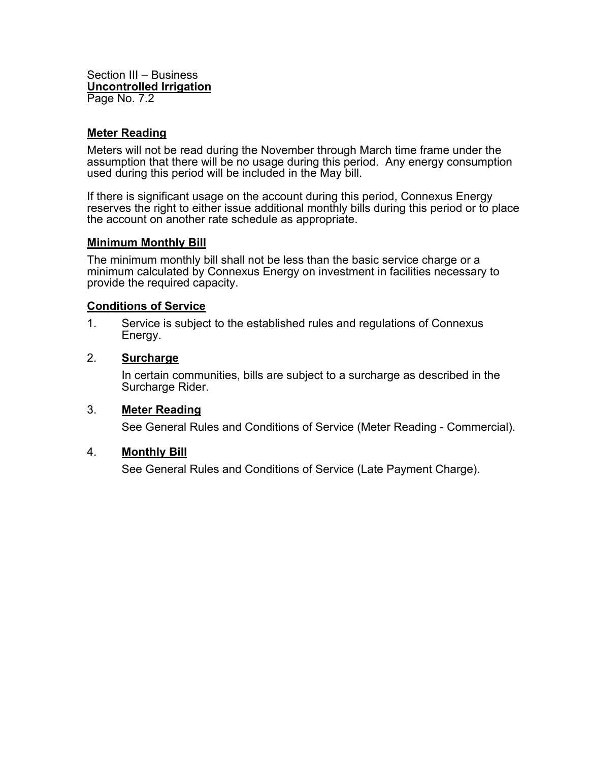Section III – Business **Uncontrolled Irrigation** Page No. 7.2

### **Meter Reading**

Meters will not be read during the November through March time frame under the assumption that there will be no usage during this period. Any energy consumption used during this period will be included in the May bill.

If there is significant usage on the account during this period, Connexus Energy reserves the right to either issue additional monthly bills during this period or to place the account on another rate schedule as appropriate.

#### **Minimum Monthly Bill**

The minimum monthly bill shall not be less than the basic service charge or a minimum calculated by Connexus Energy on investment in facilities necessary to provide the required capacity.

#### **Conditions of Service**

1. Service is subject to the established rules and regulations of Connexus Energy.

#### 2. **Surcharge**

In certain communities, bills are subject to a surcharge as described in the Surcharge Rider.

#### 3. **Meter Reading**

See General Rules and Conditions of Service (Meter Reading - Commercial).

#### 4. **Monthly Bill**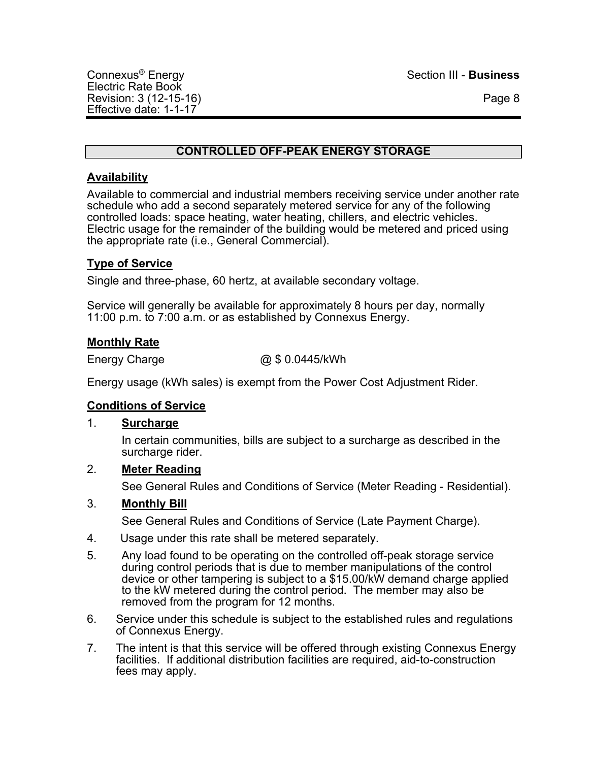# **CONTROLLED OFF-PEAK ENERGY STORAGE**

## **Availability**

Available to commercial and industrial members receiving service under another rate schedule who add a second separately metered service for any of the following controlled loads: space heating, water heating, chillers, and electric vehicles. Electric usage for the remainder of the building would be metered and priced using the appropriate rate (i.e., General Commercial).

## **Type of Service**

Single and three-phase, 60 hertz, at available secondary voltage.

Service will generally be available for approximately 8 hours per day, normally 11:00 p.m. to 7:00 a.m. or as established by Connexus Energy.

## **Monthly Rate**

Energy Charge  $@$0.0445/kWh$ 

Energy usage (kWh sales) is exempt from the Power Cost Adjustment Rider.

## **Conditions of Service**

## 1. **Surcharge**

In certain communities, bills are subject to a surcharge as described in the surcharge rider.

## 2. **Meter Reading**

See General Rules and Conditions of Service (Meter Reading - Residential).

## 3. **Monthly Bill**

- 4. Usage under this rate shall be metered separately.
- 5. Any load found to be operating on the controlled off-peak storage service during control periods that is due to member manipulations of the control device or other tampering is subject to a \$15.00/kW demand charge applied to the kW metered during the control period. The member may also be removed from the program for 12 months.
- 6. Service under this schedule is subject to the established rules and regulations of Connexus Energy.
- 7. The intent is that this service will be offered through existing Connexus Energy facilities. If additional distribution facilities are required, aid-to-construction fees may apply.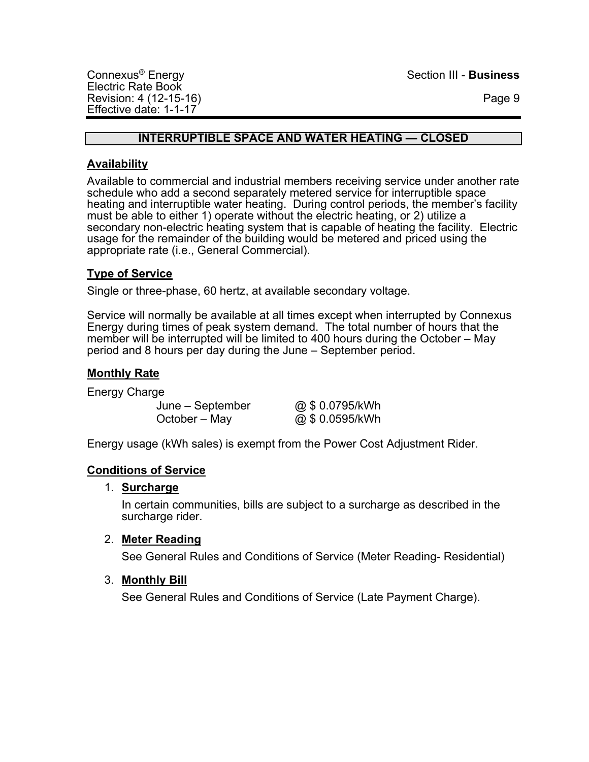## **INTERRUPTIBLE SPACE AND WATER HEATING — CLOSED**

## **Availability**

Available to commercial and industrial members receiving service under another rate schedule who add a second separately metered service for interruptible space heating and interruptible water heating. During control periods, the member's facility must be able to either 1) operate without the electric heating, or 2) utilize a secondary non-electric heating system that is capable of heating the facility. Electric usage for the remainder of the building would be metered and priced using the appropriate rate (i.e., General Commercial).

## **Type of Service**

Single or three-phase, 60 hertz, at available secondary voltage.

Service will normally be available at all times except when interrupted by Connexus Energy during times of peak system demand. The total number of hours that the member will be interrupted will be limited to 400 hours during the October – May period and 8 hours per day during the June – September period.

## **Monthly Rate**

Energy Charge

June – September @ \$ 0.0795/kWh  $October - Mav$   $@ $ 0.0595/kWh$ 

Energy usage (kWh sales) is exempt from the Power Cost Adjustment Rider.

## **Conditions of Service**

## 1. **Surcharge**

In certain communities, bills are subject to a surcharge as described in the surcharge rider.

## 2. **Meter Reading**

See General Rules and Conditions of Service (Meter Reading- Residential)

## 3. **Monthly Bill**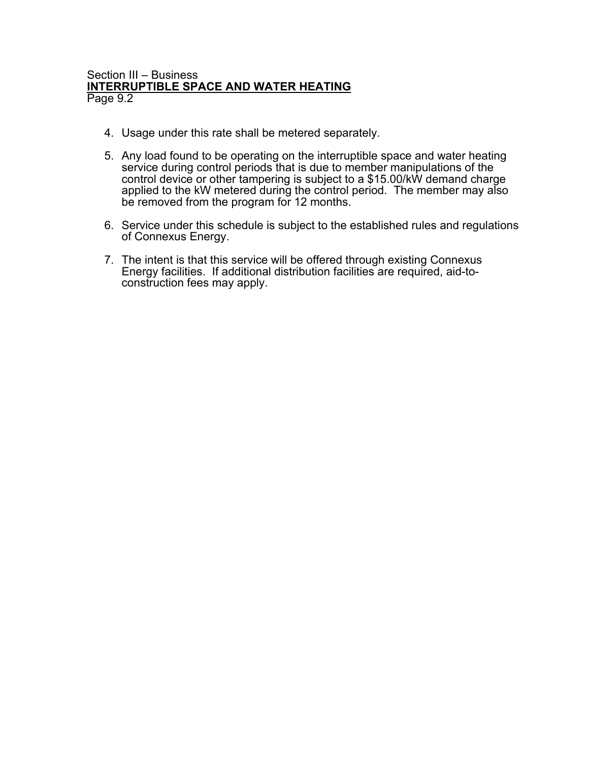#### Section III – Business **INTERRUPTIBLE SPACE AND WATER HEATING** Page 9.2

- 4. Usage under this rate shall be metered separately.
- 5. Any load found to be operating on the interruptible space and water heating service during control periods that is due to member manipulations of the control device or other tampering is subject to a \$15.00/kW demand charge applied to the kW metered during the control period. The member may also be removed from the program for 12 months.
- 6. Service under this schedule is subject to the established rules and regulations of Connexus Energy.
- 7. The intent is that this service will be offered through existing Connexus Energy facilities. If additional distribution facilities are required, aid-to- construction fees may apply.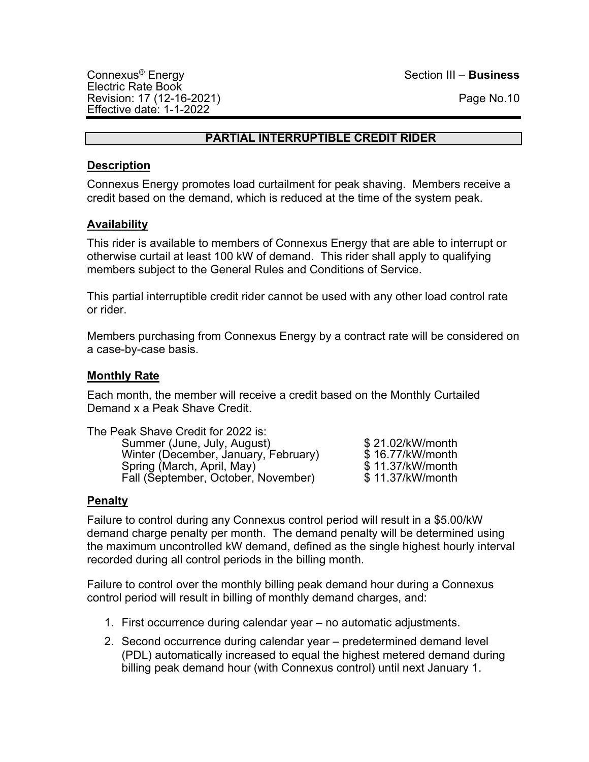## **PARTIAL INTERRUPTIBLE CREDIT RIDER**

## **Description**

Connexus Energy promotes load curtailment for peak shaving. Members receive a credit based on the demand, which is reduced at the time of the system peak.

## **Availability**

This rider is available to members of Connexus Energy that are able to interrupt or otherwise curtail at least 100 kW of demand. This rider shall apply to qualifying members subject to the General Rules and Conditions of Service.

This partial interruptible credit rider cannot be used with any other load control rate or rider.

Members purchasing from Connexus Energy by a contract rate will be considered on a case-by-case basis.

## **Monthly Rate**

Each month, the member will receive a credit based on the Monthly Curtailed Demand x a Peak Shave Credit.

| The Peak Shave Credit for 2022 is:   |                  |
|--------------------------------------|------------------|
| Summer (June, July, August)          | \$21.02/kW/month |
| Winter (December, January, February) | \$16.77/kW/month |
| Spring (March, April, May)           | \$11.37/kW/month |
| Fall (September, October, November)  | \$11.37/kW/month |

## **Penalty**

Failure to control during any Connexus control period will result in a \$5.00/kW demand charge penalty per month. The demand penalty will be determined using the maximum uncontrolled kW demand, defined as the single highest hourly interval recorded during all control periods in the billing month.

Failure to control over the monthly billing peak demand hour during a Connexus control period will result in billing of monthly demand charges, and:

- 1. First occurrence during calendar year no automatic adjustments.
- 2. Second occurrence during calendar year predetermined demand level (PDL) automatically increased to equal the highest metered demand during billing peak demand hour (with Connexus control) until next January 1.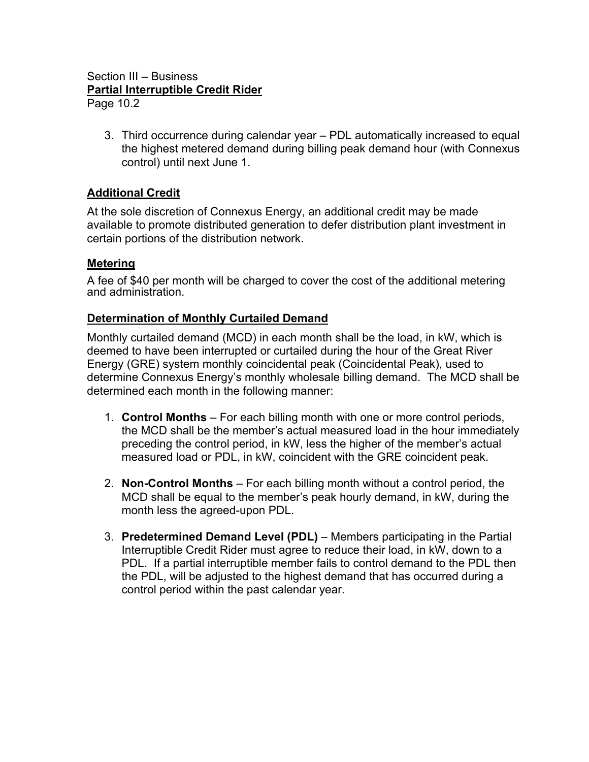## Section III – Business **Partial Interruptible Credit Rider** Page 10.2

3. Third occurrence during calendar year – PDL automatically increased to equal the highest metered demand during billing peak demand hour (with Connexus control) until next June 1.

# **Additional Credit**

At the sole discretion of Connexus Energy, an additional credit may be made available to promote distributed generation to defer distribution plant investment in certain portions of the distribution network.

## **Metering**

A fee of \$40 per month will be charged to cover the cost of the additional metering and administration.

## **Determination of Monthly Curtailed Demand**

Monthly curtailed demand (MCD) in each month shall be the load, in kW, which is deemed to have been interrupted or curtailed during the hour of the Great River Energy (GRE) system monthly coincidental peak (Coincidental Peak), used to determine Connexus Energy's monthly wholesale billing demand. The MCD shall be determined each month in the following manner:

- 1. **Control Months** For each billing month with one or more control periods, the MCD shall be the member's actual measured load in the hour immediately preceding the control period, in kW, less the higher of the member's actual measured load or PDL, in kW, coincident with the GRE coincident peak.
- 2. **Non-Control Months** For each billing month without a control period, the MCD shall be equal to the member's peak hourly demand, in kW, during the month less the agreed-upon PDL.
- 3. **Predetermined Demand Level (PDL)** Members participating in the Partial Interruptible Credit Rider must agree to reduce their load, in kW, down to a PDL. If a partial interruptible member fails to control demand to the PDL then the PDL, will be adjusted to the highest demand that has occurred during a control period within the past calendar year.